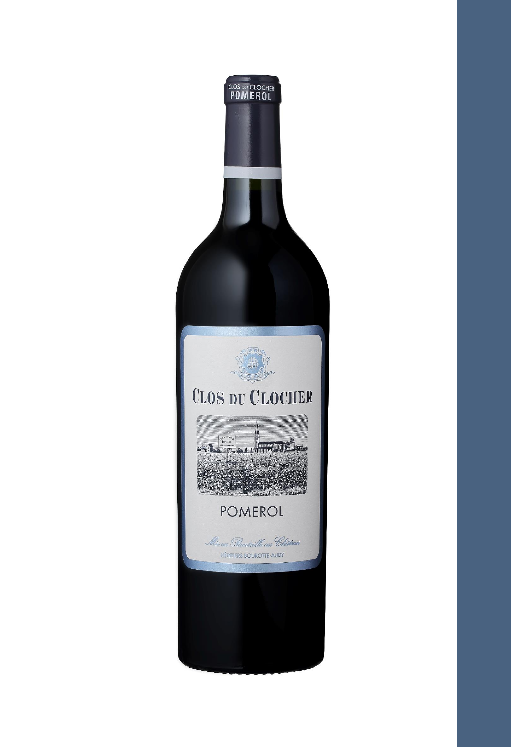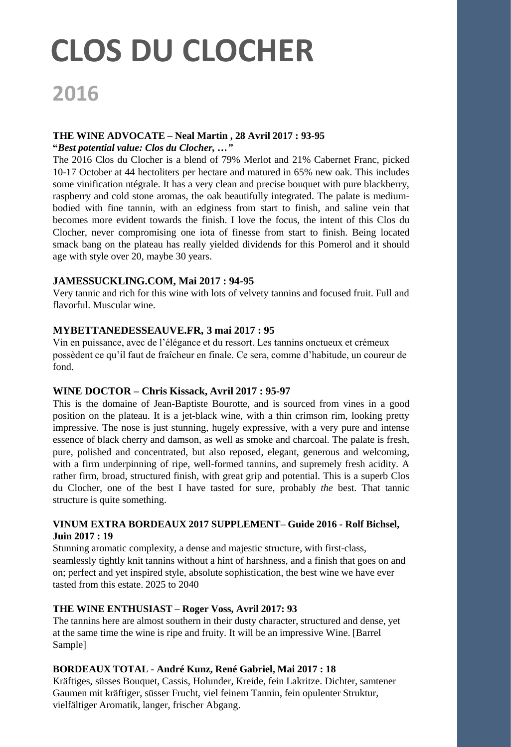## **PRIMEURS CLOS DU CLOCHER**

### **2016**

#### **THE WINE ADVOCATE – Neal Martin , 28 Avril 2017 : 93-95 "***Best potential value: Clos du Clocher, …"*

The 2016 Clos du Clocher is a blend of 79% Merlot and 21% Cabernet Franc, picked 10-17 October at 44 hectoliters per hectare and matured in 65% new oak. This includes some vinification ntégrale. It has a very clean and precise bouquet with pure blackberry, raspberry and cold stone aromas, the oak beautifully integrated. The palate is mediumbodied with fine tannin, with an edginess from start to finish, and saline vein that becomes more evident towards the finish. I love the focus, the intent of this Clos du Clocher, never compromising one iota of finesse from start to finish. Being located smack bang on the plateau has really yielded dividends for this Pomerol and it should age with style over 20, maybe 30 years.

#### **JAMESSUCKLING.COM, Mai 2017 : 94-95**

Very tannic and rich for this wine with lots of velvety tannins and focused fruit. Full and flavorful. Muscular wine.

#### **MYBETTANEDESSEAUVE.FR, 3 mai 2017 : 95**

Vin en puissance, avec de l'élégance et du ressort. Les tannins onctueux et crémeux possèdent ce qu'il faut de fraîcheur en finale. Ce sera, comme d'habitude, un coureur de fond.

#### **WINE DOCTOR – Chris Kissack, Avril 2017 : 95-97**

This is the domaine of Jean-Baptiste Bourotte, and is sourced from vines in a good position on the plateau. It is a jet-black wine, with a thin crimson rim, looking pretty impressive. The nose is just stunning, hugely expressive, with a very pure and intense essence of black cherry and damson, as well as smoke and charcoal. The palate is fresh, pure, polished and concentrated, but also reposed, elegant, generous and welcoming, with a firm underpinning of ripe, well-formed tannins, and supremely fresh acidity. A rather firm, broad, structured finish, with great grip and potential. This is a superb Clos du Clocher, one of the best I have tasted for sure, probably *the* best. That tannic structure is quite something.

#### **VINUM EXTRA BORDEAUX 2017 SUPPLEMENT– Guide 2016 - Rolf Bichsel, Juin 2017 : 19**

Stunning aromatic complexity, a dense and majestic structure, with first-class, seamlessly tightly knit tannins without a hint of harshness, and a finish that goes on and on; perfect and yet inspired style, absolute sophistication, the best wine we have ever tasted from this estate. 2025 to 2040

#### **THE WINE ENTHUSIAST – Roger Voss, Avril 2017: 93**

The tannins here are almost southern in their dusty character, structured and dense, yet at the same time the wine is ripe and fruity. It will be an impressive Wine. [Barrel Sample]

#### **BORDEAUX TOTAL - André Kunz, René Gabriel, Mai 2017 : 18**

Kräftiges, süsses Bouquet, Cassis, Holunder, Kreide, fein Lakritze. Dichter, samtener Gaumen mit kräftiger, süsser Frucht, viel feinem Tannin, fein opulenter Struktur, vielfältiger Aromatik, langer, frischer Abgang.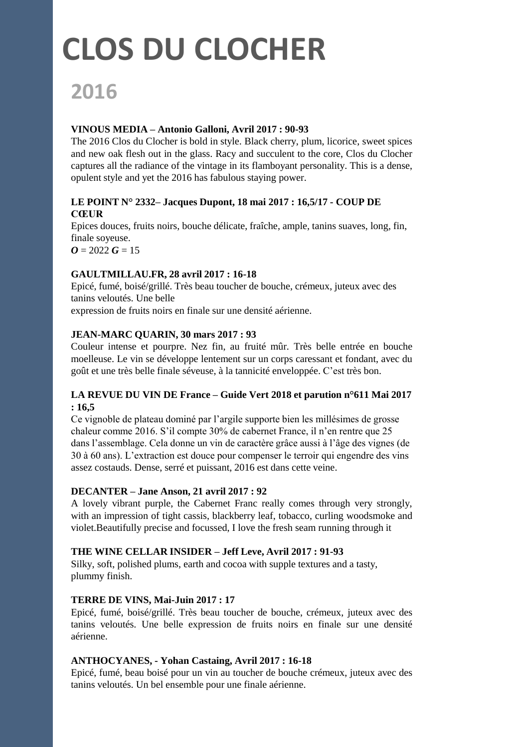### **2016**

#### **VINOUS MEDIA – Antonio Galloni, Avril 2017 : 90-93**

The 2016 Clos du Clocher is bold in style. Black cherry, plum, licorice, sweet spices and new oak flesh out in the glass. Racy and succulent to the core, Clos du Clocher captures all the radiance of the vintage in its flamboyant personality. This is a dense, opulent style and yet the 2016 has fabulous staying power.

#### **LE POINT N° 2332– Jacques Dupont, 18 mai 2017 : 16,5/17 - COUP DE CŒUR**

Epices douces, fruits noirs, bouche délicate, fraîche, ample, tanins suaves, long, fin, finale soyeuse.

 $Q = 2022 G = 15$ 

#### **GAULTMILLAU.FR, 28 avril 2017 : 16-18**

Epicé, fumé, boisé/grillé. Très beau toucher de bouche, crémeux, juteux avec des tanins veloutés. Une belle

expression de fruits noirs en finale sur une densité aérienne.

#### **JEAN-MARC QUARIN, 30 mars 2017 : 93**

Couleur intense et pourpre. Nez fin, au fruité mûr. Très belle entrée en bouche moelleuse. Le vin se développe lentement sur un corps caressant et fondant, avec du goût et une très belle finale séveuse, à la tannicité enveloppée. C'est très bon.

#### **LA REVUE DU VIN DE France – Guide Vert 2018 et parution n°611 Mai 2017 : 16,5**

Ce vignoble de plateau dominé par l'argile supporte bien les millésimes de grosse chaleur comme 2016. S'il compte 30% de cabernet France, il n'en rentre que 25 dans l'assemblage. Cela donne un vin de caractère grâce aussi à l'âge des vignes (de 30 à 60 ans). L'extraction est douce pour compenser le terroir qui engendre des vins assez costauds. Dense, serré et puissant, 2016 est dans cette veine.

#### **DECANTER – Jane Anson, 21 avril 2017 : 92**

A lovely vibrant purple, the Cabernet Franc really comes through very strongly, with an impression of tight cassis, blackberry leaf, tobacco, curling woodsmoke and violet.Beautifully precise and focussed, I love the fresh seam running through it

#### **THE WINE CELLAR INSIDER – Jeff Leve, Avril 2017 : 91-93**

Silky, soft, polished plums, earth and cocoa with supple textures and a tasty, plummy finish.

#### **TERRE DE VINS, Mai-Juin 2017 : 17**

Epicé, fumé, boisé/grillé. Très beau toucher de bouche, crémeux, juteux avec des tanins veloutés. Une belle expression de fruits noirs en finale sur une densité aérienne.

#### **ANTHOCYANES, - Yohan Castaing, Avril 2017 : 16-18**

Epicé, fumé, beau boisé pour un vin au toucher de bouche crémeux, juteux avec des tanins veloutés. Un bel ensemble pour une finale aérienne.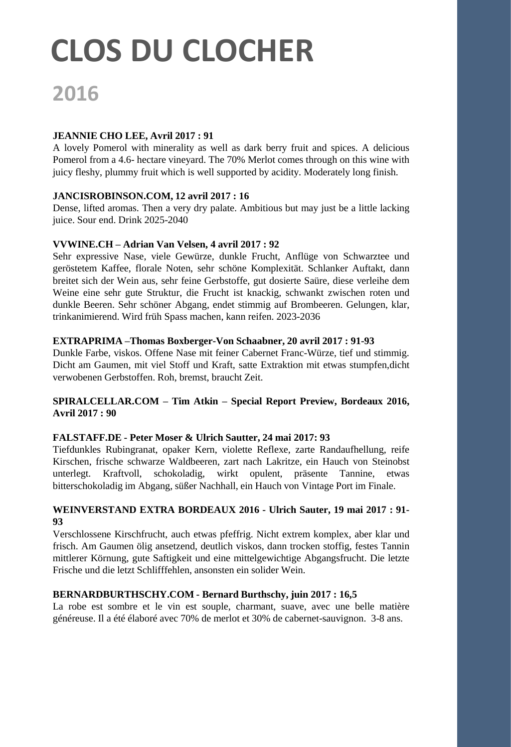## **PRIMEURS CLOS DU CLOCHER**

### **2016**

#### **JEANNIE CHO LEE, Avril 2017 : 91**

A lovely Pomerol with minerality as well as dark berry fruit and spices. A delicious Pomerol from a 4.6- hectare vineyard. The 70% Merlot comes through on this wine with juicy fleshy, plummy fruit which is well supported by acidity. Moderately long finish.

#### **JANCISROBINSON.COM, 12 avril 2017 : 16**

Dense, lifted aromas. Then a very dry palate. Ambitious but may just be a little lacking juice. Sour end. Drink 2025-2040

#### **VVWINE.CH – Adrian Van Velsen, 4 avril 2017 : 92**

Sehr expressive Nase, viele Gewürze, dunkle Frucht, Anflüge von Schwarztee und geröstetem Kaffee, florale Noten, sehr schöne Komplexität. Schlanker Auftakt, dann breitet sich der Wein aus, sehr feine Gerbstoffe, gut dosierte Saüre, diese verleihe dem Weine eine sehr gute Struktur, die Frucht ist knackig, schwankt zwischen roten und dunkle Beeren. Sehr schöner Abgang, endet stimmig auf Brombeeren. Gelungen, klar, trinkanimierend. Wird früh Spass machen, kann reifen. 2023-2036

#### **EXTRAPRIMA –Thomas Boxberger-Von Schaabner, 20 avril 2017 : 91-93**

Dunkle Farbe, viskos. Offene Nase mit feiner Cabernet Franc-Würze, tief und stimmig. Dicht am Gaumen, mit viel Stoff und Kraft, satte Extraktion mit etwas stumpfen,dicht verwobenen Gerbstoffen. Roh, bremst, braucht Zeit.

#### **SPIRALCELLAR.COM – Tim Atkin – Special Report Preview, Bordeaux 2016, Avril 2017 : 90**

#### **FALSTAFF.DE - Peter Moser & Ulrich Sautter, 24 mai 2017: 93**

Tiefdunkles Rubingranat, opaker Kern, violette Reflexe, zarte Randaufhellung, reife Kirschen, frische schwarze Waldbeeren, zart nach Lakritze, ein Hauch von Steinobst unterlegt. Kraftvoll, schokoladig, wirkt opulent, präsente Tannine, etwas bitterschokoladig im Abgang, süßer Nachhall, ein Hauch von Vintage Port im Finale.

#### **WEINVERSTAND EXTRA BORDEAUX 2016 - Ulrich Sauter, 19 mai 2017 : 91- 93**

Verschlossene Kirschfrucht, auch etwas pfeffrig. Nicht extrem komplex, aber klar und frisch. Am Gaumen ölig ansetzend, deutlich viskos, dann trocken stoffig, festes Tannin mittlerer Körnung, gute Saftigkeit und eine mittelgewichtige Abgangsfrucht. Die letzte Frische und die letzt Schlifffehlen, ansonsten ein solider Wein.

#### **BERNARDBURTHSCHY.COM - Bernard Burthschy, juin 2017 : 16,5**

La robe est sombre et le vin est souple, charmant, suave, avec une belle matière généreuse. Il a été élaboré avec 70% de merlot et 30% de cabernet-sauvignon. 3-8 ans.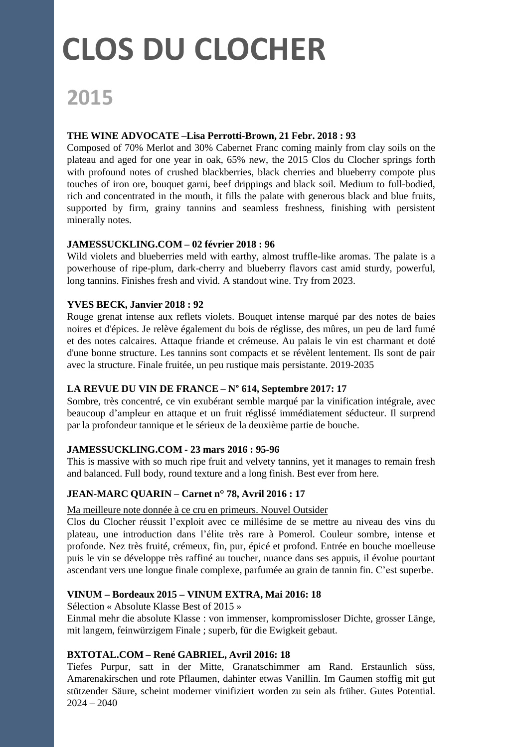## **PRIMEURS CLOS DU CLOCHER**

## **2015**

#### **THE WINE ADVOCATE –Lisa Perrotti-Brown, 21 Febr. 2018 : 93**

Composed of 70% Merlot and 30% Cabernet Franc coming mainly from clay soils on the plateau and aged for one year in oak, 65% new, the 2015 Clos du Clocher springs forth with profound notes of crushed blackberries, black cherries and blueberry compote plus touches of iron ore, bouquet garni, beef drippings and black soil. Medium to full-bodied, rich and concentrated in the mouth, it fills the palate with generous black and blue fruits, supported by firm, grainy tannins and seamless freshness, finishing with persistent minerally notes.

#### **JAMESSUCKLING.COM – 02 février 2018 : 96**

Wild violets and blueberries meld with earthy, almost truffle-like aromas. The palate is a powerhouse of ripe-plum, dark-cherry and blueberry flavors cast amid sturdy, powerful, long tannins. Finishes fresh and vivid. A standout wine. Try from 2023.

#### **YVES BECK, Janvier 2018 : 92**

Rouge grenat intense aux reflets violets. Bouquet intense marqué par des notes de baies noires et d'épices. Je relève également du bois de réglisse, des mûres, un peu de lard fumé et des notes calcaires. Attaque friande et crémeuse. Au palais le vin est charmant et doté d'une bonne structure. Les tannins sont compacts et se révèlent lentement. Ils sont de pair avec la structure. Finale fruitée, un peu rustique mais persistante. 2019-2035

#### **LA REVUE DU VIN DE FRANCE – N° 614, Septembre 2017: 17**

Sombre, très concentré, ce vin exubérant semble marqué par la vinification intégrale, avec beaucoup d'ampleur en attaque et un fruit réglissé immédiatement séducteur. Il surprend par la profondeur tannique et le sérieux de la deuxième partie de bouche.

#### **JAMESSUCKLING.COM - 23 mars 2016 : 95-96**

This is massive with so much ripe fruit and velvety tannins, yet it manages to remain fresh and balanced. Full body, round texture and a long finish. Best ever from here*.*

#### **JEAN-MARC QUARIN – Carnet n° 78, Avril 2016 : 17**

#### Ma meilleure note donnée à ce cru en primeurs. Nouvel Outsider

Clos du Clocher réussit l'exploit avec ce millésime de se mettre au niveau des vins du plateau, une introduction dans l'élite très rare à Pomerol. Couleur sombre, intense et profonde. Nez très fruité, crémeux, fin, pur, épicé et profond. Entrée en bouche moelleuse puis le vin se développe très raffiné au toucher, nuance dans ses appuis, il évolue pourtant ascendant vers une longue finale complexe, parfumée au grain de tannin fin. C'est superbe.

#### **VINUM – Bordeaux 2015 – VINUM EXTRA, Mai 2016: 18**

Sélection « Absolute Klasse Best of 2015 »

Einmal mehr die absolute Klasse : von immenser, kompromissloser Dichte, grosser Länge, mit langem, feinwürzigem Finale ; superb, für die Ewigkeit gebaut.

#### **BXTOTAL.COM – René GABRIEL, Avril 2016: 18**

Tiefes Purpur, satt in der Mitte, Granatschimmer am Rand. Erstaunlich süss, Amarenakirschen und rote Pflaumen, dahinter etwas Vanillin. Im Gaumen stoffig mit gut stützender Säure, scheint moderner vinifiziert worden zu sein als früher. Gutes Potential.  $2024 - 2040$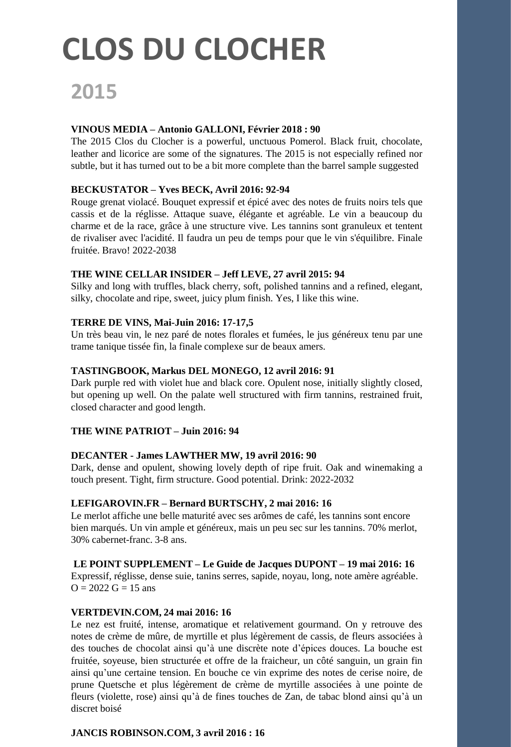### **2015**

#### **VINOUS MEDIA – Antonio GALLONI, Février 2018 : 90**

The 2015 Clos du Clocher is a powerful, unctuous Pomerol. Black fruit, chocolate, leather and licorice are some of the signatures. The 2015 is not especially refined nor subtle, but it has turned out to be a bit more complete than the barrel sample suggested

#### **BECKUSTATOR – Yves BECK, Avril 2016: 92-94**

Rouge grenat violacé. Bouquet expressif et épicé avec des notes de fruits noirs tels que cassis et de la réglisse. Attaque suave, élégante et agréable. Le vin a beaucoup du charme et de la race, grâce à une structure vive. Les tannins sont granuleux et tentent de rivaliser avec l'acidité. Il faudra un peu de temps pour que le vin s'équilibre. Finale fruitée. Bravo! 2022-2038

#### **THE WINE CELLAR INSIDER – Jeff LEVE, 27 avril 2015: 94**

Silky and long with truffles, black cherry, soft, polished tannins and a refined, elegant, silky, chocolate and ripe, sweet, juicy plum finish. Yes, I like this wine.

#### **TERRE DE VINS, Mai-Juin 2016: 17-17,5**

Un très beau vin, le nez paré de notes florales et fumées, le jus généreux tenu par une trame tanique tissée fin, la finale complexe sur de beaux amers.

#### **TASTINGBOOK, Markus DEL MONEGO, 12 avril 2016: 91**

Dark purple red with violet hue and black core. Opulent nose, initially slightly closed, but opening up well. On the palate well structured with firm tannins, restrained fruit, closed character and good length.

#### **THE WINE PATRIOT – Juin 2016: 94**

#### **DECANTER - James LAWTHER MW, 19 avril 2016: 90**

Dark, dense and opulent, showing lovely depth of ripe fruit. Oak and winemaking a touch present. Tight, firm structure. Good potential. Drink: 2022-2032

#### **LEFIGAROVIN.FR – Bernard BURTSCHY, 2 mai 2016: 16**

Le merlot affiche une belle maturité avec ses arômes de café, les tannins sont encore bien marqués. Un vin ample et généreux, mais un peu sec sur les tannins. 70% merlot, 30% cabernet-franc. 3-8 ans.

#### **LE POINT SUPPLEMENT – Le Guide de Jacques DUPONT – 19 mai 2016: 16**

Expressif, réglisse, dense suie, tanins serres, sapide, noyau, long, note amère agréable.  $Q = 2022$  G = 15 ans

#### **VERTDEVIN.COM, 24 mai 2016: 16**

Le nez est fruité, intense, aromatique et relativement gourmand. On y retrouve des notes de crème de mûre, de myrtille et plus légèrement de cassis, de fleurs associées à des touches de chocolat ainsi qu'à une discrète note d'épices douces. La bouche est fruitée, soyeuse, bien structurée et offre de la fraicheur, un côté sanguin, un grain fin ainsi qu'une certaine tension. En bouche ce vin exprime des notes de cerise noire, de prune Quetsche et plus légèrement de crème de myrtille associées à une pointe de fleurs (violette, rose) ainsi qu'à de fines touches de Zan, de tabac blond ainsi qu'à un discret boisé

#### **JANCIS ROBINSON.COM, 3 avril 2016 : 16**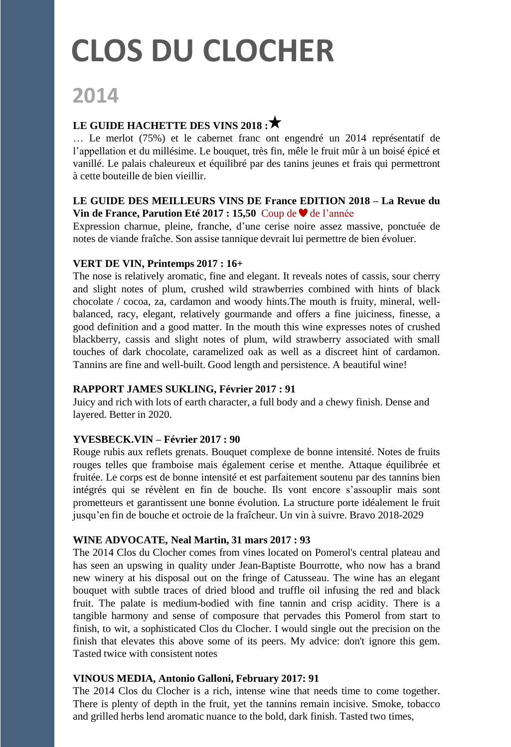### **2014**

#### **LE GUIDE HACHETTE DES VINS 2018 :**

… Le merlot (75%) et le cabernet franc ont engendré un 2014 représentatif de l'appellation et du millésime. Le bouquet, très fin, mêle le fruit mûr à un boisé épicé et vanillé. Le palais chaleureux et équilibré par des tanins jeunes et frais qui permettront à cette bouteille de bien vieillir.

#### **LE GUIDE DES MEILLEURS VINS DE France EDITION 2018 – La Revue du Vin de France, Parution Eté 2017 : 15,50** Coup de de l'année

Expression charnue, pleine, franche, d'une cerise noire assez massive, ponctuée de notes de viande fraîche. Son assise tannique devrait lui permettre de bien évoluer.

#### **VERT DE VIN, Printemps 2017 : 16+**

The nose is relatively aromatic, fine and elegant. It reveals notes of cassis, sour cherry and slight notes of plum, crushed wild strawberries combined with hints of black chocolate / cocoa, za, cardamon and woody hints.The mouth is fruity, mineral, wellbalanced, racy, elegant, relatively gourmande and offers a fine juiciness, finesse, a good definition and a good matter. In the mouth this wine expresses notes of crushed blackberry, cassis and slight notes of plum, wild strawberry associated with small touches of dark chocolate, caramelized oak as well as a discreet hint of cardamon. Tannins are fine and well-built. Good length and persistence. A beautiful wine!

#### **RAPPORT JAMES SUKLING, Février 2017 : 91**

Juicy and rich with lots of earth character, a full body and a chewy finish. Dense and layered. Better in 2020.

#### **YVESBECK.VIN – Février 2017 : 90**

Rouge rubis aux reflets grenats. Bouquet complexe de bonne intensité. Notes de fruits rouges telles que framboise mais également cerise et menthe. Attaque équilibrée et fruitée. Le corps est de bonne intensité et est parfaitement soutenu par des tannins bien intégrés qui se révèlent en fin de bouche. Ils vont encore s'assouplir mais sont prometteurs et garantissent une bonne évolution. La structure porte idéalement le fruit jusqu'en fin de bouche et octroie de la fraîcheur. Un vin à suivre. Bravo 2018-2029

#### **WINE ADVOCATE, Neal Martin, 31 mars 2017 : 93**

The 2014 Clos du Clocher comes from vines located on Pomerol's central plateau and has seen an upswing in quality under Jean-Baptiste Bourrotte, who now has a brand new winery at his disposal out on the fringe of Catusseau. The wine has an elegant bouquet with subtle traces of dried blood and truffle oil infusing the red and black fruit. The palate is medium-bodied with fine tannin and crisp acidity. There is a tangible harmony and sense of composure that pervades this Pomerol from start to finish, to wit, a sophisticated Clos du Clocher. I would single out the precision on the finish that elevates this above some of its peers. My advice: don't ignore this gem. Tasted twice with consistent notes

#### **VINOUS MEDIA, Antonio Galloni, February 2017: 91**

The 2014 Clos du Clocher is a rich, intense wine that needs time to come together. There is plenty of depth in the fruit, yet the tannins remain incisive. Smoke, tobacco and grilled herbs lend aromatic nuance to the bold, dark finish. Tasted two times,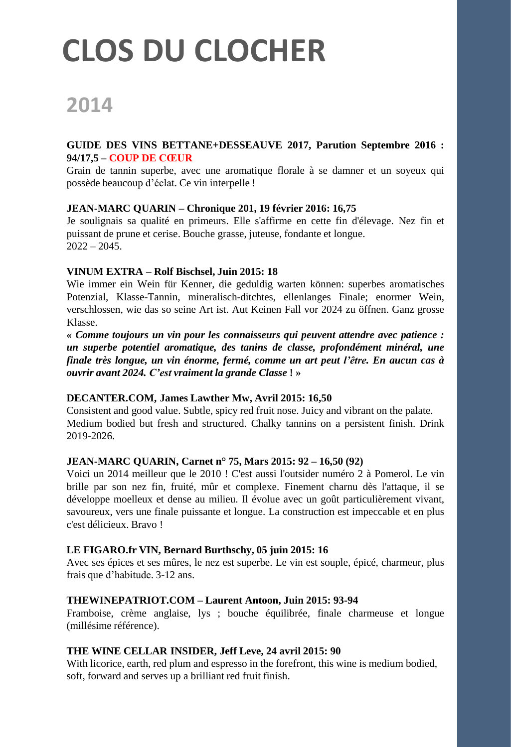### **2014**

#### **GUIDE DES VINS BETTANE+DESSEAUVE 2017, Parution Septembre 2016 : 94/17,5 – COUP DE CŒUR**

Grain de tannin superbe, avec une aromatique florale à se damner et un soyeux qui possède beaucoup d'éclat. Ce vin interpelle !

#### **JEAN-MARC QUARIN – Chronique 201, 19 février 2016: 16,75**

Je soulignais sa qualité en primeurs. Elle s'affirme en cette fin d'élevage. Nez fin et puissant de prune et cerise. Bouche grasse, juteuse, fondante et longue.  $2022 - 2045.$ 

#### **VINUM EXTRA – Rolf Bischsel, Juin 2015: 18**

Wie immer ein Wein für Kenner, die geduldig warten können: superbes aromatisches Potenzial, Klasse-Tannin, mineralisch-ditchtes, ellenlanges Finale; enormer Wein, verschlossen, wie das so seine Art ist. Aut Keinen Fall vor 2024 zu öffnen. Ganz grosse Klasse.

*« Comme toujours un vin pour les connaisseurs qui peuvent attendre avec patience : un superbe potentiel aromatique, des tanins de classe, profondément minéral, une finale très longue, un vin énorme, fermé, comme un art peut l'être. En aucun cas à ouvrir avant 2024. C'est vraiment la grande Classe* **! »**

#### **DECANTER.COM, James Lawther Mw, Avril 2015: 16,50**

Consistent and good value. Subtle, spicy red fruit nose. Juicy and vibrant on the palate. Medium bodied but fresh and structured. Chalky tannins on a persistent finish. Drink 2019-2026.

#### **JEAN-MARC QUARIN, Carnet n° 75, Mars 2015: 92 – 16,50 (92)**

Voici un 2014 meilleur que le 2010 ! C'est aussi l'outsider numéro 2 à Pomerol. Le vin brille par son nez fin, fruité, mûr et complexe. Finement charnu dès l'attaque, il se développe moelleux et dense au milieu. Il évolue avec un goût particulièrement vivant, savoureux, vers une finale puissante et longue. La construction est impeccable et en plus c'est délicieux. Bravo !

#### **LE FIGARO.fr VIN, Bernard Burthschy, 05 juin 2015: 16**

Avec ses épices et ses mûres, le nez est superbe. Le vin est souple, épicé, charmeur, plus frais que d'habitude. 3-12 ans.

#### **THEWINEPATRIOT.COM – Laurent Antoon, Juin 2015: 93-94**

Framboise, crème anglaise, lys ; bouche équilibrée, finale charmeuse et longue (millésime référence).

#### **THE WINE CELLAR INSIDER, Jeff Leve, 24 avril 2015: 90**

With licorice, earth, red plum and espresso in the forefront, this wine is medium bodied, soft, forward and serves up a brilliant red fruit finish.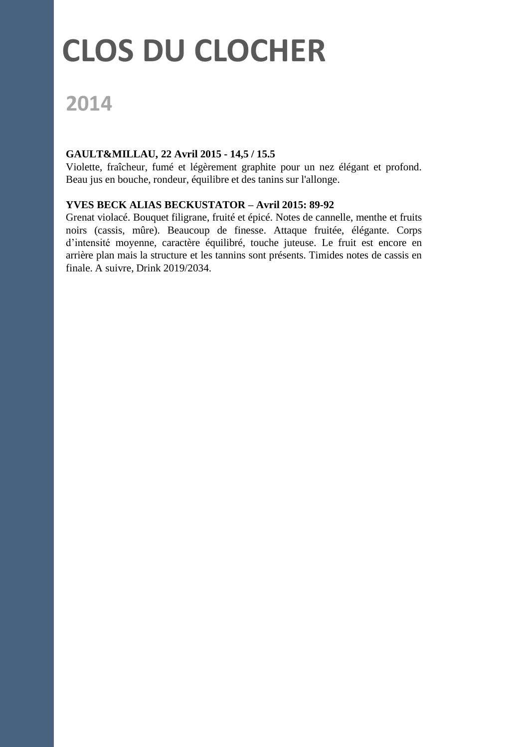### **2014**

#### **GAULT&MILLAU, 22 Avril 2015 - 14,5 / 15.5**

Violette, fraîcheur, fumé et légèrement graphite pour un nez élégant et profond. Beau jus en bouche, rondeur, équilibre et des tanins sur l'allonge.

#### **YVES BECK ALIAS BECKUSTATOR – Avril 2015: 89-92**

Grenat violacé. Bouquet filigrane, fruité et épicé. Notes de cannelle, menthe et fruits noirs (cassis, mûre). Beaucoup de finesse. Attaque fruitée, élégante. Corps d'intensité moyenne, caractère équilibré, touche juteuse. Le fruit est encore en arrière plan mais la structure et les tannins sont présents. Timides notes de cassis en finale. A suivre, Drink 2019/2034.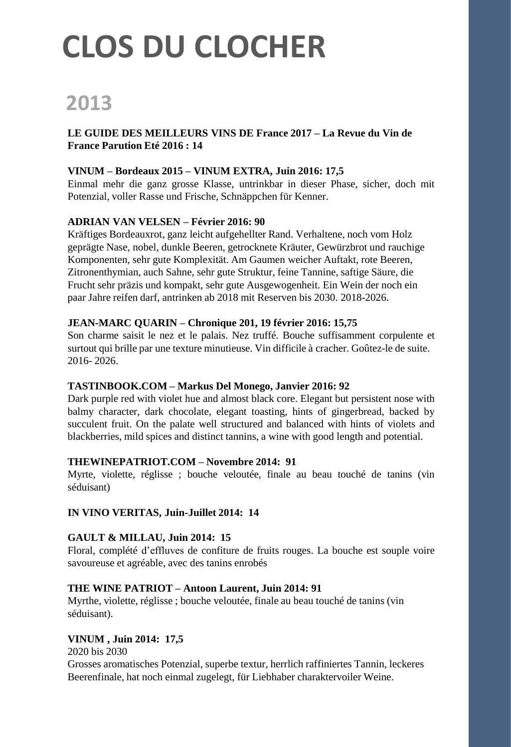### **2013**

#### **LE GUIDE DES MEILLEURS VINS DE France 2017 – La Revue du Vin de France Parution Eté 2016 : 14**

#### **VINUM – Bordeaux 2015 – VINUM EXTRA, Juin 2016: 17,5**

Einmal mehr die ganz grosse Klasse, untrinkbar in dieser Phase, sicher, doch mit Potenzial, voller Rasse und Frische, Schnäppchen für Kenner.

#### **ADRIAN VAN VELSEN – Février 2016: 90**

Kräftiges Bordeauxrot, ganz leicht aufgehellter Rand. Verhaltene, noch vom Holz geprägte Nase, nobel, dunkle Beeren, getrocknete Kräuter, Gewürzbrot und rauchige Komponenten, sehr gute Komplexität. Am Gaumen weicher Auftakt, rote Beeren, Zitronenthymian, auch Sahne, sehr gute Struktur, feine Tannine, saftige Säure, die Frucht sehr präzis und kompakt, sehr gute Ausgewogenheit. Ein Wein der noch ein paar Jahre reifen darf, antrinken ab 2018 mit Reserven bis 2030. 2018-2026.

#### **JEAN-MARC QUARIN – Chronique 201, 19 février 2016: 15,75**

Son charme saisit le nez et le palais. Nez truffé. Bouche suffisamment corpulente et surtout qui brille par une texture minutieuse. Vin difficile à cracher. Goûtez-le de suite. 2016- 2026.

#### **TASTINBOOK.COM – Markus Del Monego, Janvier 2016: 92**

Dark purple red with violet hue and almost black core. Elegant but persistent nose with balmy character, dark chocolate, elegant toasting, hints of gingerbread, backed by succulent fruit. On the palate well structured and balanced with hints of violets and blackberries, mild spices and distinct tannins, a wine with good length and potential.

#### **THEWINEPATRIOT.COM – Novembre 2014: 91**

Myrte, violette, réglisse ; bouche veloutée, finale au beau touché de tanins (vin séduisant)

#### **IN VINO VERITAS, Juin-Juillet 2014: 14**

#### **GAULT & MILLAU, Juin 2014: 15**

Floral, complété d'effluves de confiture de fruits rouges. La bouche est souple voire savoureuse et agréable, avec des tanins enrobés

#### **THE WINE PATRIOT – Antoon Laurent, Juin 2014: 91**

Myrthe, violette, réglisse ; bouche veloutée, finale au beau touché de tanins (vin séduisant).

#### **VINUM , Juin 2014: 17,5**

2020 bis 2030

Grosses aromatisches Potenzial, superbe textur, herrlich raffiniertes Tannin, leckeres Beerenfinale, hat noch einmal zugelegt, für Liebhaber charaktervoiler Weine.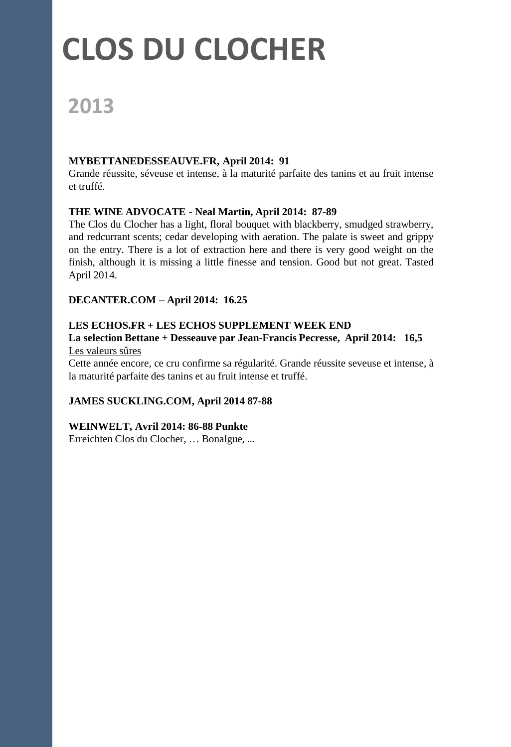### **2013**

#### **MYBETTANEDESSEAUVE.FR, April 2014: 91**

Grande réussite, séveuse et intense, à la maturité parfaite des tanins et au fruit intense et truffé.

#### **THE WINE ADVOCATE - Neal Martin, April 2014: 87-89**

The Clos du Clocher has a light, floral bouquet with blackberry, smudged strawberry, and redcurrant scents; cedar developing with aeration. The palate is sweet and grippy on the entry. There is a lot of extraction here and there is very good weight on the finish, although it is missing a little finesse and tension. Good but not great. Tasted April 2014.

#### **DECANTER.COM – April 2014: 16.25**

#### **LES ECHOS.FR + LES ECHOS SUPPLEMENT WEEK END**

#### **La selection Bettane + Desseauve par Jean-Francis Pecresse, April 2014: 16,5** Les valeurs sûres

Cette année encore, ce cru confirme sa régularité. Grande réussite seveuse et intense, à la maturité parfaite des tanins et au fruit intense et truffé.

#### **JAMES SUCKLING.COM, April 2014 87-88**

#### **WEINWELT, Avril 2014: 86-88 Punkte**

Erreichten Clos du Clocher, … Bonalgue, …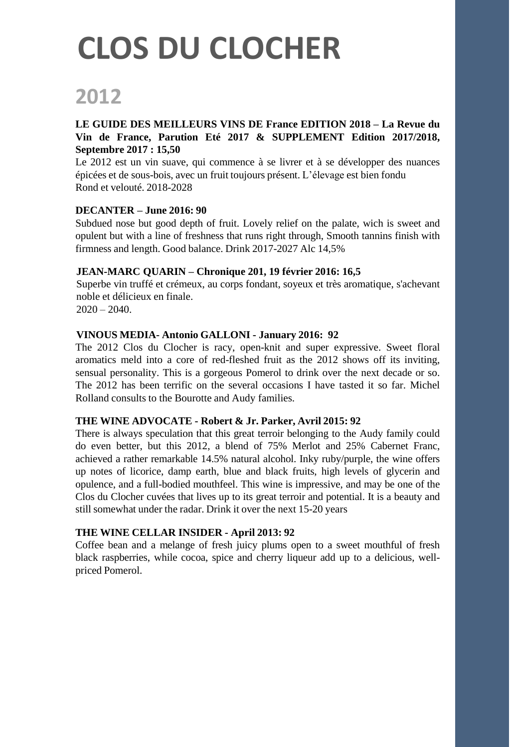## **2012**

#### **LE GUIDE DES MEILLEURS VINS DE France EDITION 2018 – La Revue du Vin de France, Parution Eté 2017 & SUPPLEMENT Edition 2017/2018, Septembre 2017 : 15,50**

Le 2012 est un vin suave, qui commence à se livrer et à se développer des nuances épicées et de sous-bois, avec un fruit toujours présent. L'élevage est bien fondu Rond et velouté. 2018-2028

#### **DECANTER – June 2016: 90**

Subdued nose but good depth of fruit. Lovely relief on the palate, wich is sweet and opulent but with a line of freshness that runs right through, Smooth tannins finish with firmness and length. Good balance. Drink 2017-2027 Alc 14,5%

#### **JEAN-MARC QUARIN – Chronique 201, 19 février 2016: 16,5**

Superbe vin truffé et crémeux, au corps fondant, soyeux et très aromatique, s'achevant noble et délicieux en finale.  $2020 - 2040.$ 

#### **VINOUS MEDIA- Antonio GALLONI - January 2016: 92**

The 2012 Clos du Clocher is racy, open-knit and super expressive. Sweet floral aromatics meld into a core of red-fleshed fruit as the 2012 shows off its inviting, sensual personality. This is a gorgeous Pomerol to drink over the next decade or so. The 2012 has been terrific on the several occasions I have tasted it so far. Michel Rolland consults to the Bourotte and Audy families.

#### **THE WINE ADVOCATE - Robert & Jr. Parker, Avril 2015: 92**

There is always speculation that this great terroir belonging to the Audy family could do even better, but this 2012, a blend of 75% Merlot and 25% Cabernet Franc, achieved a rather remarkable 14.5% natural alcohol. Inky ruby/purple, the wine offers up notes of licorice, damp earth, blue and black fruits, high levels of glycerin and opulence, and a full-bodied mouthfeel. This wine is impressive, and may be one of the Clos du Clocher cuvées that lives up to its great terroir and potential. It is a beauty and still somewhat under the radar. Drink it over the next 15-20 years

#### **THE WINE CELLAR INSIDER - April 2013: 92**

Coffee bean and a melange of fresh juicy plums open to a sweet mouthful of fresh black raspberries, while cocoa, spice and cherry liqueur add up to a delicious, wellpriced Pomerol.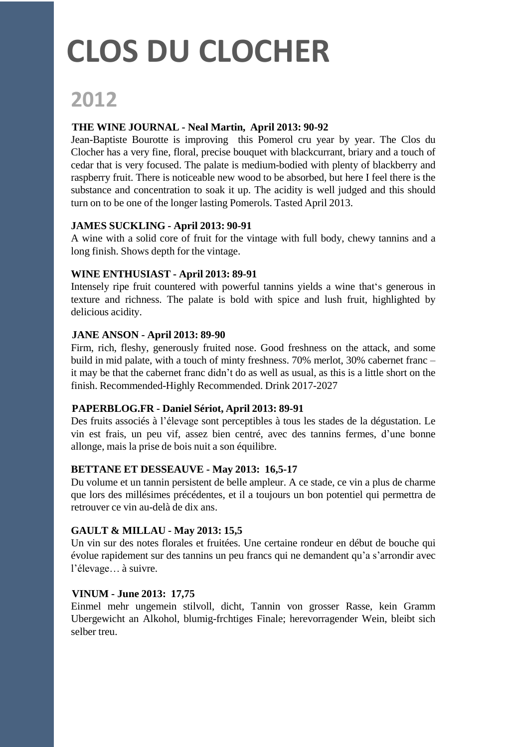## **2012**

#### **THE WINE JOURNAL - Neal Martin, April 2013: 90-92**

Jean-Baptiste Bourotte is improving this Pomerol cru year by year. The Clos du Clocher has a very fine, floral, precise bouquet with blackcurrant, briary and a touch of cedar that is very focused. The palate is medium-bodied with plenty of blackberry and raspberry fruit. There is noticeable new wood to be absorbed, but here I feel there is the substance and concentration to soak it up. The acidity is well judged and this should turn on to be one of the longer lasting Pomerols. Tasted April 2013.

#### **JAMES SUCKLING - April 2013: 90-91**

A wine with a solid core of fruit for the vintage with full body, chewy tannins and a long finish. Shows depth for the vintage.

#### **WINE ENTHUSIAST - April 2013: 89-91**

Intensely ripe fruit countered with powerful tannins yields a wine that's generous in texture and richness. The palate is bold with spice and lush fruit, highlighted by delicious acidity.

#### **JANE ANSON - April 2013: 89-90**

Firm, rich, fleshy, generously fruited nose. Good freshness on the attack, and some build in mid palate, with a touch of minty freshness. 70% merlot, 30% cabernet franc – it may be that the cabernet franc didn't do as well as usual, as this is a little short on the finish. Recommended-Highly Recommended. Drink 2017-2027

#### **PAPERBLOG.FR - Daniel Sériot, April 2013: 89-91**

Des fruits associés à l'élevage sont perceptibles à tous les stades de la dégustation. Le vin est frais, un peu vif, assez bien centré, avec des tannins fermes, d'une bonne allonge, mais la prise de bois nuit a son équilibre.

#### **BETTANE ET DESSEAUVE - May 2013: 16,5-17**

Du volume et un tannin persistent de belle ampleur. A ce stade, ce vin a plus de charme que lors des millésimes précédentes, et il a toujours un bon potentiel qui permettra de retrouver ce vin au-delà de dix ans.

#### **GAULT & MILLAU - May 2013: 15,5**

Un vin sur des notes florales et fruitées. Une certaine rondeur en début de bouche qui évolue rapidement sur des tannins un peu francs qui ne demandent qu'a s'arrondir avec l'élevage… à suivre.

#### **VINUM - June 2013: 17,75**

Einmel mehr ungemein stilvoll, dicht, Tannin von grosser Rasse, kein Gramm Ubergewicht an Alkohol, blumig-frchtiges Finale; herevorragender Wein, bleibt sich selber treu.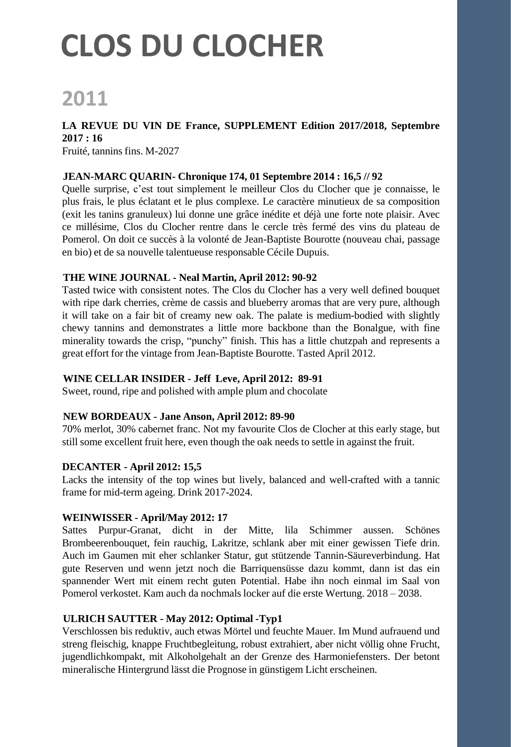### **2011**

#### **LA REVUE DU VIN DE France, SUPPLEMENT Edition 2017/2018, Septembre 2017 : 16**

Fruité, tannins fins. M-2027

#### **JEAN-MARC QUARIN- Chronique 174, 01 Septembre 2014 : 16,5 // 92**

Quelle surprise, c'est tout simplement le meilleur Clos du Clocher que je connaisse, le plus frais, le plus éclatant et le plus complexe. Le caractère minutieux de sa composition (exit les tanins granuleux) lui donne une grâce inédite et déjà une forte note plaisir. Avec ce millésime, Clos du Clocher rentre dans le cercle très fermé des vins du plateau de Pomerol. On doit ce succès à la volonté de Jean-Baptiste Bourotte (nouveau chai, passage en bio) et de sa nouvelle talentueuse responsable Cécile Dupuis.

#### **THE WINE JOURNAL - Neal Martin, April 2012: 90-92**

Tasted twice with consistent notes. The Clos du Clocher has a very well defined bouquet with ripe dark cherries, crème de cassis and blueberry aromas that are very pure, although it will take on a fair bit of creamy new oak. The palate is medium-bodied with slightly chewy tannins and demonstrates a little more backbone than the Bonalgue, with fine minerality towards the crisp, "punchy" finish. This has a little chutzpah and represents a great effort for the vintage from Jean-Baptiste Bourotte. Tasted April 2012.

#### **WINE CELLAR INSIDER - Jeff Leve, April 2012: 89-91**

Sweet, round, ripe and polished with ample plum and chocolate

#### **NEW BORDEAUX - Jane Anson, April 2012: 89-90**

70% merlot, 30% cabernet franc. Not my favourite Clos de Clocher at this early stage, but still some excellent fruit here, even though the oak needs to settle in against the fruit.

#### **DECANTER - April 2012: 15,5**

Lacks the intensity of the top wines but lively, balanced and well-crafted with a tannic frame for mid-term ageing. Drink 2017-2024.

#### **WEINWISSER - April/May 2012: 17**

Sattes Purpur-Granat, dicht in der Mitte, lila Schimmer aussen. Schönes Brombeerenbouquet, fein rauchig, Lakritze, schlank aber mit einer gewissen Tiefe drin. Auch im Gaumen mit eher schlanker Statur, gut stützende Tannin-Säureverbindung. Hat gute Reserven und wenn jetzt noch die Barriquensüsse dazu kommt, dann ist das ein spannender Wert mit einem recht guten Potential. Habe ihn noch einmal im Saal von Pomerol verkostet. Kam auch da nochmals locker auf die erste Wertung. 2018 – 2038.

#### **ULRICH SAUTTER - May 2012: Optimal -Typ1**

Verschlossen bis reduktiv, auch etwas Mörtel und feuchte Mauer. Im Mund aufrauend und streng fleischig, knappe Fruchtbegleitung, robust extrahiert, aber nicht völlig ohne Frucht, jugendlichkompakt, mit Alkoholgehalt an der Grenze des Harmoniefensters. Der betont mineralische Hintergrund lässt die Prognose in günstigem Licht erscheinen.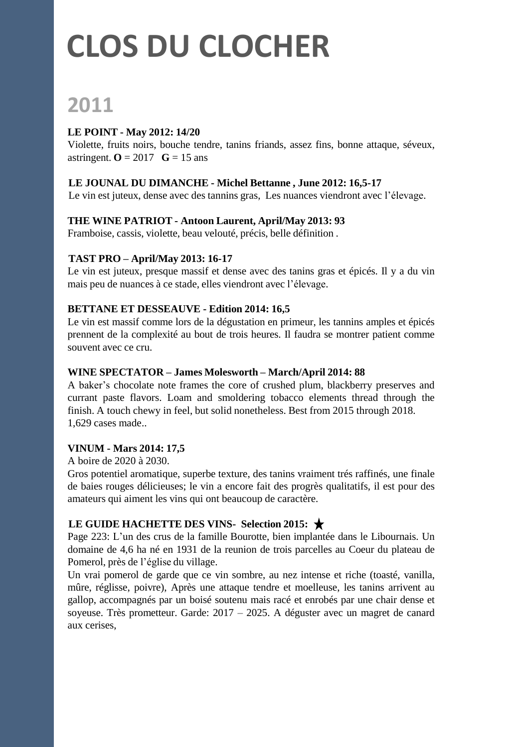## **2011**

#### **LE POINT - May 2012: 14/20**

Violette, fruits noirs, bouche tendre, tanins friands, assez fins, bonne attaque, séveux, astringent.  $\mathbf{O} = 2017$   $\mathbf{G} = 15$  ans

#### **LE JOUNAL DU DIMANCHE - Michel Bettanne , June 2012: 16,5-17**

Le vin est juteux, dense avec des tannins gras, Les nuances viendront avec l'élevage.

#### **THE WINE PATRIOT - Antoon Laurent, April/May 2013: 93**

Framboise, cassis, violette, beau velouté, précis, belle définition .

#### **TAST PRO – April/May 2013: 16-17**

Le vin est juteux, presque massif et dense avec des tanins gras et épicés. Il y a du vin mais peu de nuances à ce stade, elles viendront avec l'élevage.

#### **BETTANE ET DESSEAUVE - Edition 2014: 16,5**

Le vin est massif comme lors de la dégustation en primeur, les tannins amples et épicés prennent de la complexité au bout de trois heures. Il faudra se montrer patient comme souvent avec ce cru.

#### **WINE SPECTATOR – James Molesworth – March/April 2014: 88**

A baker's chocolate note frames the core of crushed plum, blackberry preserves and currant paste flavors. Loam and smoldering tobacco elements thread through the finish. A touch chewy in feel, but solid nonetheless. Best from 2015 through 2018. 1,629 cases made..

#### **VINUM - Mars 2014: 17,5**

A boire de 2020 à 2030.

Gros potentiel aromatique, superbe texture, des tanins vraiment trés raffinés, une finale de baies rouges délicieuses; le vin a encore fait des progrès qualitatifs, il est pour des amateurs qui aiment les vins qui ont beaucoup de caractère.

#### **LE GUIDE HACHETTE DES VINS- Selection 2015:**

Page 223: L'un des crus de la famille Bourotte, bien implantée dans le Libournais. Un domaine de 4,6 ha né en 1931 de la reunion de trois parcelles au Coeur du plateau de Pomerol, près de l'église du village.

Un vrai pomerol de garde que ce vin sombre, au nez intense et riche (toasté, vanilla, mûre, réglisse, poivre), Après une attaque tendre et moelleuse, les tanins arrivent au gallop, accompagnés par un boisé soutenu mais racé et enrobés par une chair dense et soyeuse. Très prometteur. Garde: 2017 – 2025. A déguster avec un magret de canard aux cerises,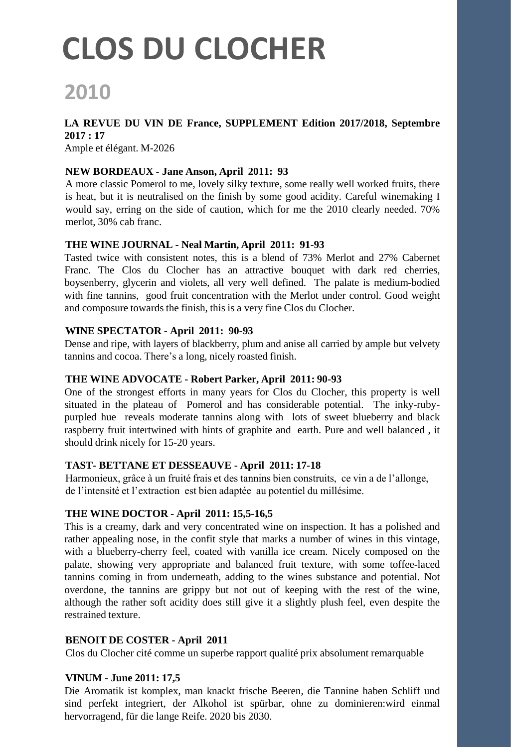### **2010**

#### **LA REVUE DU VIN DE France, SUPPLEMENT Edition 2017/2018, Septembre 2017 : 17**

Ample et élégant. M-2026

#### **NEW BORDEAUX - Jane Anson, April 2011: 93**

A more classic Pomerol to me, lovely silky texture, some really well worked fruits, there is heat, but it is neutralised on the finish by some good acidity. Careful winemaking I would say, erring on the side of caution, which for me the 2010 clearly needed. 70% merlot, 30% cab franc.

#### **THE WINE JOURNAL - Neal Martin, April 2011: 91-93**

Tasted twice with consistent notes, this is a blend of 73% Merlot and 27% Cabernet Franc. The Clos du Clocher has an attractive bouquet with dark red cherries, boysenberry, glycerin and violets, all very well defined. The palate is medium-bodied with fine tannins, good fruit concentration with the Merlot under control. Good weight and composure towards the finish, this is a very fine Clos du Clocher.

#### **WINE SPECTATOR - April 2011: 90-93**

Dense and ripe, with layers of blackberry, plum and anise all carried by ample but velvety tannins and cocoa. There's a long, nicely roasted finish.

#### **THE WINE ADVOCATE - Robert Parker, April 2011: 90-93**

One of the strongest efforts in many years for Clos du Clocher, this property is well situated in the plateau of Pomerol and has considerable potential. The inky-rubypurpled hue reveals moderate tannins along with lots of sweet blueberry and black raspberry fruit intertwined with hints of graphite and earth. Pure and well balanced , it should drink nicely for 15-20 years.

#### **TAST- BETTANE ET DESSEAUVE - April 2011: 17-18**

Harmonieux, grâce à un fruité frais et des tannins bien construits, ce vin a de l'allonge, de l'intensité et l'extraction est bien adaptée au potentiel du millésime.

#### **THE WINE DOCTOR - April 2011: 15,5-16,5**

This is a creamy, dark and very concentrated wine on inspection. It has a polished and rather appealing nose, in the confit style that marks a number of wines in this vintage, with a blueberry-cherry feel, coated with vanilla ice cream. Nicely composed on the palate, showing very appropriate and balanced fruit texture, with some toffee-laced tannins coming in from underneath, adding to the wines substance and potential. Not overdone, the tannins are grippy but not out of keeping with the rest of the wine, although the rather soft acidity does still give it a slightly plush feel, even despite the restrained texture.

#### **BENOIT DE COSTER - April 2011**

Clos du Clocher cité comme un superbe rapport qualité prix absolument remarquable

#### **VINUM - June 2011: 17,5**

Die Aromatik ist komplex, man knackt frische Beeren, die Tannine haben Schliff und sind perfekt integriert, der Alkohol ist spürbar, ohne zu dominieren:wird einmal hervorragend, für die lange Reife. 2020 bis 2030.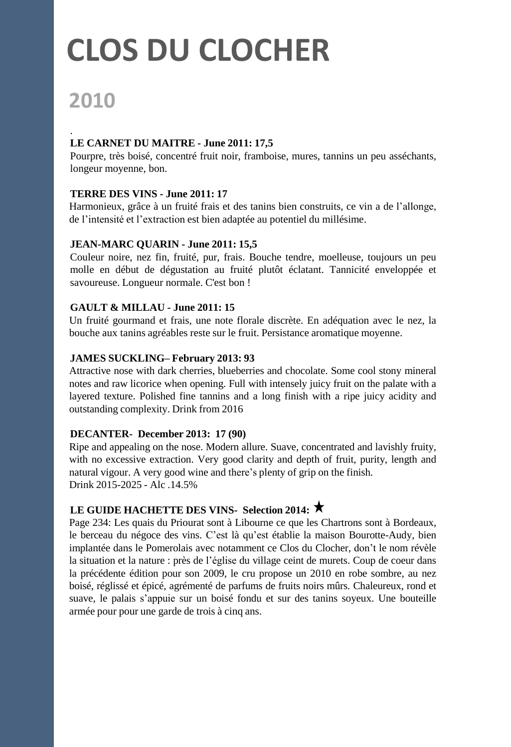## **2010**

#### . **LE CARNET DU MAITRE - June 2011: 17,5**

Pourpre, très boisé, concentré fruit noir, framboise, mures, tannins un peu asséchants, longeur moyenne, bon.

#### **TERRE DES VINS - June 2011: 17**

Harmonieux, grâce à un fruité frais et des tanins bien construits, ce vin a de l'allonge, de l'intensité et l'extraction est bien adaptée au potentiel du millésime.

#### **JEAN-MARC QUARIN - June 2011: 15,5**

Couleur noire, nez fin, fruité, pur, frais. Bouche tendre, moelleuse, toujours un peu molle en début de dégustation au fruité plutôt éclatant. Tannicité enveloppée et savoureuse. Longueur normale. C'est bon !

#### **GAULT & MILLAU - June 2011: 15**

Un fruité gourmand et frais, une note florale discrète. En adéquation avec le nez, la bouche aux tanins agréables reste sur le fruit. Persistance aromatique moyenne.

#### **JAMES SUCKLING– February 2013: 93**

Attractive nose with dark cherries, blueberries and chocolate. Some cool stony mineral notes and raw licorice when opening. Full with intensely juicy fruit on the palate with a layered texture. Polished fine tannins and a long finish with a ripe juicy acidity and outstanding complexity. Drink from 2016

#### **DECANTER- December 2013: 17 (90)**

Ripe and appealing on the nose. Modern allure. Suave, concentrated and lavishly fruity, with no excessive extraction. Very good clarity and depth of fruit, purity, length and natural vigour. A very good wine and there's plenty of grip on the finish. Drink 2015-2025 - Alc .14.5%

#### **LE GUIDE HACHETTE DES VINS- Selection 2014:**

Page 234: Les quais du Priourat sont à Libourne ce que les Chartrons sont à Bordeaux, le berceau du négoce des vins. C'est là qu'est établie la maison Bourotte-Audy, bien implantée dans le Pomerolais avec notamment ce Clos du Clocher, don't le nom révèle la situation et la nature : près de l'église du village ceint de murets. Coup de coeur dans la précédente édition pour son 2009, le cru propose un 2010 en robe sombre, au nez boisé, réglissé et épicé, agrémenté de parfums de fruits noirs mûrs. Chaleureux, rond et suave, le palais s'appuie sur un boisé fondu et sur des tanins soyeux. Une bouteille armée pour pour une garde de trois à cinq ans.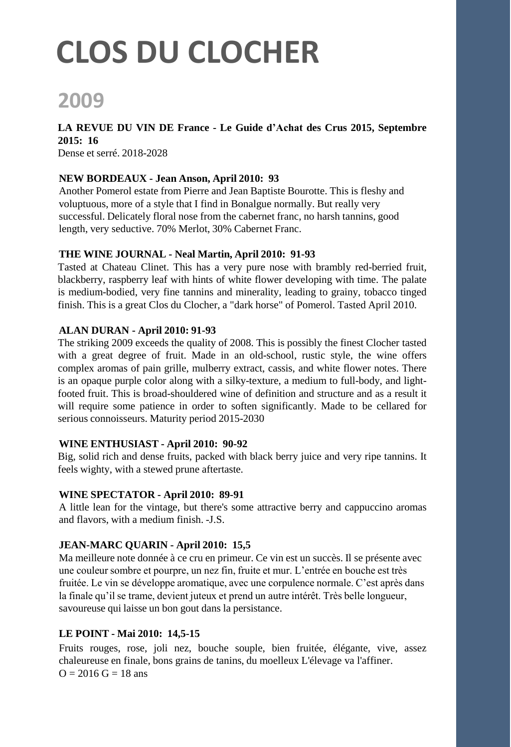### **2009**

**LA REVUE DU VIN DE France - Le Guide d'Achat des Crus 2015, Septembre 2015: 16**

Dense et serré. 2018-2028

#### **NEW BORDEAUX - Jean Anson, April 2010: 93**

Another Pomerol estate from Pierre and Jean Baptiste Bourotte. This is fleshy and voluptuous, more of a style that I find in Bonalgue normally. But really very successful. Delicately floral nose from the cabernet franc, no harsh tannins, good length, very seductive. 70% Merlot, 30% Cabernet Franc.

#### **THE WINE JOURNAL - Neal Martin, April 2010: 91-93**

Tasted at Chateau Clinet. This has a very pure nose with brambly red-berried fruit, blackberry, raspberry leaf with hints of white flower developing with time. The palate is medium-bodied, very fine tannins and minerality, leading to grainy, tobacco tinged finish. This is a great Clos du Clocher, a "dark horse" of Pomerol. Tasted April 2010.

#### **ALAN DURAN - April 2010: 91-93**

The striking 2009 exceeds the quality of 2008. This is possibly the finest Clocher tasted with a great degree of fruit. Made in an old-school, rustic style, the wine offers complex aromas of pain grille, mulberry extract, cassis, and white flower notes. There is an opaque purple color along with a silky-texture, a medium to full-body, and lightfooted fruit. This is broad-shouldered wine of definition and structure and as a result it will require some patience in order to soften significantly. Made to be cellared for serious connoisseurs. Maturity period 2015-2030

#### **WINE ENTHUSIAST - April 2010: 90-92**

Big, solid rich and dense fruits, packed with black berry juice and very ripe tannins. It feels wighty, with a stewed prune aftertaste.

#### **WINE SPECTATOR - April 2010: 89-91**

A little lean for the vintage, but there's some attractive berry and cappuccino aromas and flavors, with a medium finish. -J.S.

#### **JEAN-MARC QUARIN - April 2010: 15,5**

Ma meilleure note donnée à ce cru en primeur. Ce vin est un succès. Il se présente avec une couleur sombre et pourpre, un nez fin, fruite et mur. L'entrée en bouche est très fruitée. Le vin se développe aromatique, avec une corpulence normale. C'est après dans la finale qu'il se trame, devient juteux et prend un autre intérêt. Très belle longueur, savoureuse qui laisse un bon gout dans la persistance.

#### **LE POINT - Mai 2010: 14,5-15**

Fruits rouges, rose, joli nez, bouche souple, bien fruitée, élégante, vive, assez chaleureuse en finale, bons grains de tanins, du moelleux L'élevage va l'affiner.  $Q = 2016$  G = 18 ans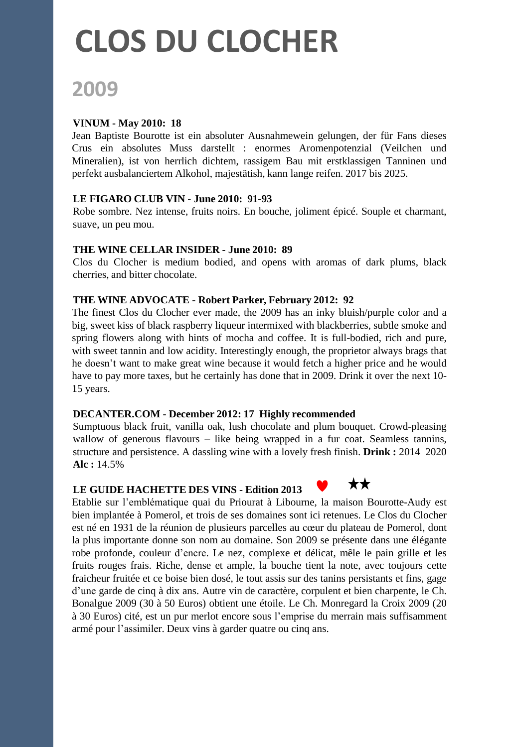## **2009**

#### **VINUM - May 2010: 18**

Jean Baptiste Bourotte ist ein absoluter Ausnahmewein gelungen, der für Fans dieses Crus ein absolutes Muss darstellt : enormes Aromenpotenzial (Veilchen und Mineralien), ist von herrlich dichtem, rassigem Bau mit erstklassigen Tanninen und perfekt ausbalanciertem Alkohol, majestätish, kann lange reifen. 2017 bis 2025.

#### **LE FIGARO CLUB VIN - June 2010: 91-93**

Robe sombre. Nez intense, fruits noirs. En bouche, joliment épicé. Souple et charmant, suave, un peu mou.

#### **THE WINE CELLAR INSIDER - June 2010: 89**

Clos du Clocher is medium bodied, and opens with aromas of dark plums, black cherries, and bitter chocolate.

#### **THE WINE ADVOCATE - Robert Parker, February 2012: 92**

The finest Clos du Clocher ever made, the 2009 has an inky bluish/purple color and a big, sweet kiss of black raspberry liqueur intermixed with blackberries, subtle smoke and spring flowers along with hints of mocha and coffee. It is full-bodied, rich and pure, with sweet tannin and low acidity. Interestingly enough, the proprietor always brags that he doesn't want to make great wine because it would fetch a higher price and he would have to pay more taxes, but he certainly has done that in 2009. Drink it over the next 10- 15 years.

#### **DECANTER.COM - December 2012: 17 Highly recommended**

Sumptuous black fruit, vanilla oak, lush chocolate and plum bouquet. Crowd-pleasing wallow of generous flavours – like being wrapped in a fur coat. Seamless tannins, structure and persistence. A dassling wine with a lovely fresh finish. **Drink :** 2014 2020 **Alc :** 14.5%

#### **LE GUIDE HACHETTE DES VINS - Edition 2013**

Etablie sur l'emblématique quai du Priourat à Libourne, la maison Bourotte-Audy est bien implantée à Pomerol, et trois de ses domaines sont ici retenues. Le Clos du Clocher est né en 1931 de la réunion de plusieurs parcelles au cœur du plateau de Pomerol, dont la plus importante donne son nom au domaine. Son 2009 se présente dans une élégante robe profonde, couleur d'encre. Le nez, complexe et délicat, mêle le pain grille et les fruits rouges frais. Riche, dense et ample, la bouche tient la note, avec toujours cette fraicheur fruitée et ce boise bien dosé, le tout assis sur des tanins persistants et fins, gage d'une garde de cinq à dix ans. Autre vin de caractère, corpulent et bien charpente, le Ch. Bonalgue 2009 (30 à 50 Euros) obtient une étoile. Le Ch. Monregard la Croix 2009 (20 à 30 Euros) cité, est un pur merlot encore sous l'emprise du merrain mais suffisamment armé pour l'assimiler. Deux vins à garder quatre ou cinq ans.

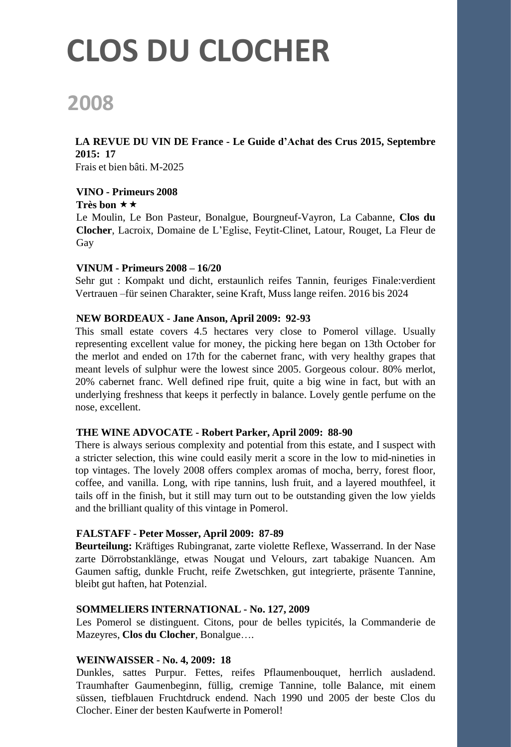### **2008**

**LA REVUE DU VIN DE France - Le Guide d'Achat des Crus 2015, Septembre 2015: 17**

Frais et bien bâti. M-2025

#### **VINO - Primeurs 2008**

#### **Très** bon  $\star \star$

Le Moulin, Le Bon Pasteur, Bonalgue, Bourgneuf-Vayron, La Cabanne, **Clos du Clocher**, Lacroix, Domaine de L'Eglise, Feytit-Clinet, Latour, Rouget, La Fleur de Gay

#### **VINUM - Primeurs 2008 – 16/20**

Sehr gut : Kompakt und dicht, erstaunlich reifes Tannin, feuriges Finale:verdient Vertrauen –für seinen Charakter, seine Kraft, Muss lange reifen. 2016 bis 2024

#### **NEW BORDEAUX - Jane Anson, April 2009: 92-93**

This small estate covers 4.5 hectares very close to Pomerol village. Usually representing excellent value for money, the picking here began on 13th October for the merlot and ended on 17th for the cabernet franc, with very healthy grapes that meant levels of sulphur were the lowest since 2005. Gorgeous colour. 80% merlot, 20% cabernet franc. Well defined ripe fruit, quite a big wine in fact, but with an underlying freshness that keeps it perfectly in balance. Lovely gentle perfume on the nose, excellent.

#### **THE WINE ADVOCATE - Robert Parker, April 2009: 88-90**

There is always serious complexity and potential from this estate, and I suspect with a stricter selection, this wine could easily merit a score in the low to mid-nineties in top vintages. The lovely 2008 offers complex aromas of mocha, berry, forest floor, coffee, and vanilla. Long, with ripe tannins, lush fruit, and a layered mouthfeel, it tails off in the finish, but it still may turn out to be outstanding given the low yields and the brilliant quality of this vintage in Pomerol.

#### **FALSTAFF - Peter Mosser, April 2009: 87-89**

**Beurteilung:** Kräftiges Rubingranat, zarte violette Reflexe, Wasserrand. In der Nase zarte Dörrobstanklänge, etwas Nougat und Velours, zart tabakige Nuancen. Am Gaumen saftig, dunkle Frucht, reife Zwetschken, gut integrierte, präsente Tannine, bleibt gut haften, hat Potenzial.

#### **SOMMELIERS INTERNATIONAL - No. 127, 2009**

Les Pomerol se distinguent. Citons, pour de belles typicités, la Commanderie de Mazeyres, **Clos du Clocher**, Bonalgue….

#### **WEINWAISSER - No. 4, 2009: 18**

Dunkles, sattes Purpur. Fettes, reifes Pflaumenbouquet, herrlich ausladend. Traumhafter Gaumenbeginn, füllig, cremige Tannine, tolle Balance, mit einem süssen, tiefblauen Fruchtdruck endend. Nach 1990 und 2005 der beste Clos du Clocher. Einer der besten Kaufwerte in Pomerol!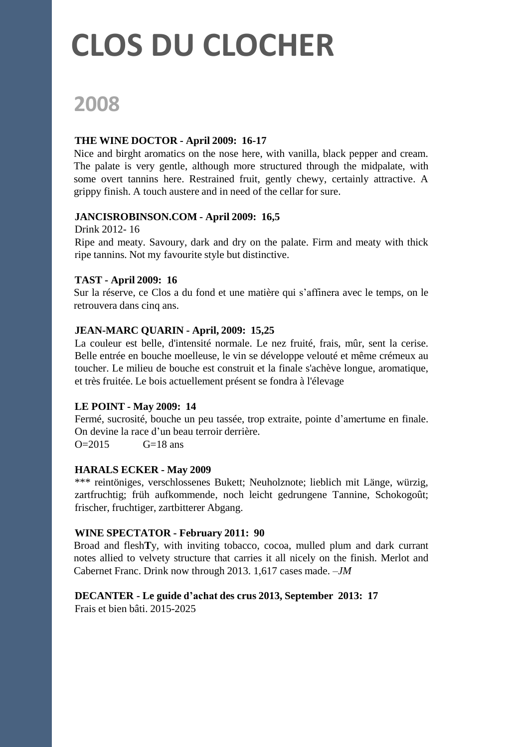### **2008**

#### **THE WINE DOCTOR - April 2009: 16-17**

Nice and birght aromatics on the nose here, with vanilla, black pepper and cream. The palate is very gentle, although more structured through the midpalate, with some overt tannins here. Restrained fruit, gently chewy, certainly attractive. A grippy finish. A touch austere and in need of the cellar for sure.

#### **JANCISROBINSON.COM - April 2009: 16,5**

Drink 2012- 16 Ripe and meaty. Savoury, dark and dry on the palate. Firm and meaty with thick ripe tannins. Not my favourite style but distinctive.

#### **TAST - April 2009: 16**

Sur la réserve, ce Clos a du fond et une matière qui s'affinera avec le temps, on le retrouvera dans cinq ans.

#### **JEAN-MARC QUARIN - April, 2009: 15,25**

La couleur est belle, d'intensité normale. Le nez fruité, frais, mûr, sent la cerise. Belle entrée en bouche moelleuse, le vin se développe velouté et même crémeux au toucher. Le milieu de bouche est construit et la finale s'achève longue, aromatique, et très fruitée. Le bois actuellement présent se fondra à l'élevage

#### **LE POINT - May 2009: 14**

Fermé, sucrosité, bouche un peu tassée, trop extraite, pointe d'amertume en finale. On devine la race d'un beau terroir derrière.

 $Q=2015$   $G=18$  ans

#### **HARALS ECKER - May 2009**

\*\*\* reintöniges, verschlossenes Bukett; Neuholznote; lieblich mit Länge, würzig, zartfruchtig; früh aufkommende, noch leicht gedrungene Tannine, Schokogoût; frischer, fruchtiger, zartbitterer Abgang.

#### **WINE SPECTATOR - February 2011: 90**

Broad and flesh**T**y, with inviting tobacco, cocoa, mulled plum and dark currant notes allied to velvety structure that carries it all nicely on the finish. Merlot and Cabernet Franc. Drink now through 2013. 1,617 cases made. *–JM*

#### **DECANTER - Le guide d'achat des crus 2013, September 2013: 17**

Frais et bien bâti. 2015-2025